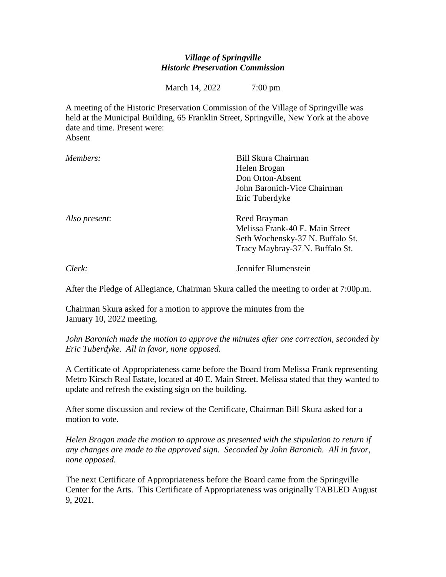## *Village of Springville Historic Preservation Commission*

March 14, 2022 7:00 pm

A meeting of the Historic Preservation Commission of the Village of Springville was held at the Municipal Building, 65 Franklin Street, Springville, New York at the above date and time. Present were:

Absent

| Members:      | Bill Skura Chairman              |
|---------------|----------------------------------|
|               | Helen Brogan                     |
|               | Don Orton-Absent                 |
|               | John Baronich-Vice Chairman      |
|               | Eric Tuberdyke                   |
| Also present: | Reed Brayman                     |
|               | Melissa Frank-40 E. Main Street  |
|               | Seth Wochensky-37 N. Buffalo St. |
|               | Tracy Maybray-37 N. Buffalo St.  |
| $Clerk$ :     | Jennifer Blumenstein             |

After the Pledge of Allegiance, Chairman Skura called the meeting to order at 7:00p.m.

Chairman Skura asked for a motion to approve the minutes from the January 10, 2022 meeting.

*John Baronich made the motion to approve the minutes after one correction, seconded by Eric Tuberdyke. All in favor, none opposed.*

A Certificate of Appropriateness came before the Board from Melissa Frank representing Metro Kirsch Real Estate, located at 40 E. Main Street. Melissa stated that they wanted to update and refresh the existing sign on the building.

After some discussion and review of the Certificate, Chairman Bill Skura asked for a motion to vote.

*Helen Brogan made the motion to approve as presented with the stipulation to return if any changes are made to the approved sign. Seconded by John Baronich. All in favor, none opposed.*

The next Certificate of Appropriateness before the Board came from the Springville Center for the Arts. This Certificate of Appropriateness was originally TABLED August 9, 2021.